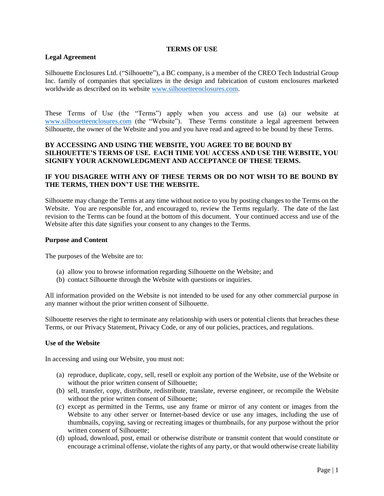#### **TERMS OF USE**

# **Legal Agreement**

Silhouette Enclosures Ltd. ("Silhouette"), a BC company, is a member of the CREO Tech Industrial Group Inc. family of companies that specializes in the design and fabrication of custom enclosures marketed worldwide as described on its website [www.silhouetteenclosures.com.](http://www.silhouetteenclosures.com/)

These Terms of Use (the "Terms") apply when you access and use (a) our website at [www.silhouetteenclosures.com](http://www.creotechgroup.com/) (the "Website"). These Terms constitute a legal agreement between Silhouette, the owner of the Website and you and you have read and agreed to be bound by these Terms.

# **BY ACCESSING AND USING THE WEBSITE, YOU AGREE TO BE BOUND BY SILHOUETTE'S TERMS OF USE. EACH TIME YOU ACCESS AND USE THE WEBSITE, YOU SIGNIFY YOUR ACKNOWLEDGMENT AND ACCEPTANCE OF THESE TERMS.**

# **IF YOU DISAGREE WITH ANY OF THESE TERMS OR DO NOT WISH TO BE BOUND BY THE TERMS, THEN DON'T USE THE WEBSITE.**

Silhouette may change the Terms at any time without notice to you by posting changes to the Terms on the Website. You are responsible for, and encouraged to, review the Terms regularly. The date of the last revision to the Terms can be found at the bottom of this document. Your continued access and use of the Website after this date signifies your consent to any changes to the Terms.

#### **Purpose and Content**

The purposes of the Website are to:

- (a) allow you to browse information regarding Silhouette on the Website; and
- (b) contact Silhouette through the Website with questions or inquiries.

All information provided on the Website is not intended to be used for any other commercial purpose in any manner without the prior written consent of Silhouette.

Silhouette reserves the right to terminate any relationship with users or potential clients that breaches these Terms, or our Privacy Statement, Privacy Code, or any of our policies, practices, and regulations.

# **Use of the Website**

In accessing and using our Website, you must not:

- (a) reproduce, duplicate, copy, sell, resell or exploit any portion of the Website, use of the Website or without the prior written consent of Silhouette;
- (b) sell, transfer, copy, distribute, redistribute, translate, reverse engineer, or recompile the Website without the prior written consent of Silhouette;
- (c) except as permitted in the Terms, use any frame or mirror of any content or images from the Website to any other server or Internet-based device or use any images, including the use of thumbnails, copying, saving or recreating images or thumbnails, for any purpose without the prior written consent of Silhouette;
- (d) upload, download, post, email or otherwise distribute or transmit content that would constitute or encourage a criminal offense, violate the rights of any party, or that would otherwise create liability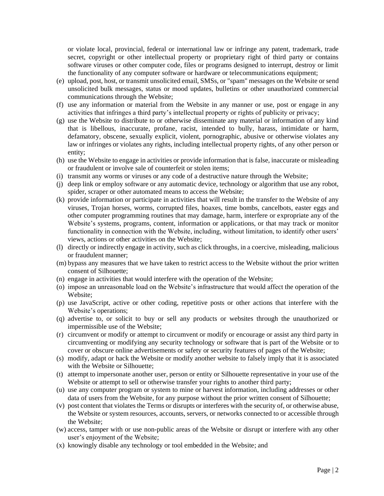or violate local, provincial, federal or international law or infringe any patent, trademark, trade secret, copyright or other intellectual property or proprietary right of third party or contains software viruses or other computer code, files or programs designed to interrupt, destroy or limit the functionality of any computer software or hardware or telecommunications equipment;

- (e) upload, post, host, or transmit unsolicited email, SMSs, or "spam" messages on the Website or send unsolicited bulk messages, status or mood updates, bulletins or other unauthorized commercial communications through the Website;
- (f) use any information or material from the Website in any manner or use, post or engage in any activities that infringes a third party's intellectual property or rights of publicity or privacy;
- (g) use the Website to distribute to or otherwise disseminate any material or information of any kind that is libellous, inaccurate, profane, racist, intended to bully, harass, intimidate or harm, defamatory, obscene, sexually explicit, violent, pornographic, abusive or otherwise violates any law or infringes or violates any rights, including intellectual property rights, of any other person or entity;
- (h) use the Website to engage in activities or provide information that is false, inaccurate or misleading or fraudulent or involve sale of counterfeit or stolen items;
- (i) transmit any worms or viruses or any code of a destructive nature through the Website;
- (j) deep link or employ software or any automatic device, technology or algorithm that use any robot, spider, scraper or other automated means to access the Website;
- (k) provide information or participate in activities that will result in the transfer to the Website of any viruses, Trojan horses, worms, corrupted files, hoaxes, time bombs, cancelbots, easter eggs and other computer programming routines that may damage, harm, interfere or expropriate any of the Website's systems, programs, content, information or applications, or that may track or monitor functionality in connection with the Website, including, without limitation, to identify other users' views, actions or other activities on the Website;
- (l) directly or indirectly engage in activity, such as click throughs, in a coercive, misleading, malicious or fraudulent manner;
- (m) bypass any measures that we have taken to restrict access to the Website without the prior written consent of Silhouette;
- (n) engage in activities that would interfere with the operation of the Website;
- (o) impose an unreasonable load on the Website's infrastructure that would affect the operation of the Website;
- (p) use JavaScript, active or other coding, repetitive posts or other actions that interfere with the Website's operations;
- (q) advertise to, or solicit to buy or sell any products or websites through the unauthorized or impermissible use of the Website;
- (r) circumvent or modify or attempt to circumvent or modify or encourage or assist any third party in circumventing or modifying any security technology or software that is part of the Website or to cover or obscure online advertisements or safety or security features of pages of the Website;
- (s) modify, adapt or hack the Website or modify another website to falsely imply that it is associated with the Website or Silhouette;
- (t) attempt to impersonate another user, person or entity or Silhouette representative in your use of the Website or attempt to sell or otherwise transfer your rights to another third party;
- (u) use any computer program or system to mine or harvest information, including addresses or other data of users from the Website, for any purpose without the prior written consent of Silhouette;
- (v) post content that violates the Terms or disrupts or interferes with the security of, or otherwise abuse, the Website or system resources, accounts, servers, or networks connected to or accessible through the Website;
- (w) access, tamper with or use non-public areas of the Website or disrupt or interfere with any other user's enjoyment of the Website;
- (x) knowingly disable any technology or tool embedded in the Website; and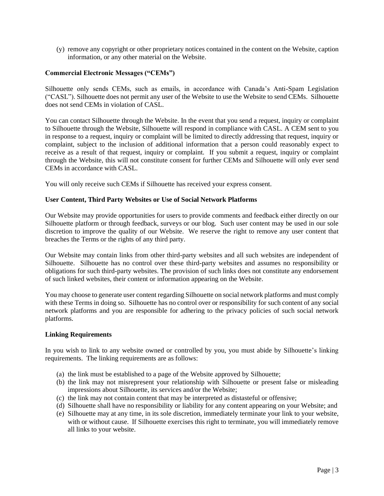(y) remove any copyright or other proprietary notices contained in the content on the Website, caption information, or any other material on the Website.

# **Commercial Electronic Messages ("CEMs")**

Silhouette only sends CEMs, such as emails, in accordance with Canada's Anti-Spam Legislation ("CASL"). Silhouette does not permit any user of the Website to use the Website to send CEMs. Silhouette does not send CEMs in violation of CASL.

You can contact Silhouette through the Website. In the event that you send a request, inquiry or complaint to Silhouette through the Website, Silhouette will respond in compliance with CASL. A CEM sent to you in response to a request, inquiry or complaint will be limited to directly addressing that request, inquiry or complaint, subject to the inclusion of additional information that a person could reasonably expect to receive as a result of that request, inquiry or complaint. If you submit a request, inquiry or complaint through the Website, this will not constitute consent for further CEMs and Silhouette will only ever send CEMs in accordance with CASL.

You will only receive such CEMs if Silhouette has received your express consent.

#### **User Content, Third Party Websites or Use of Social Network Platforms**

Our Website may provide opportunities for users to provide comments and feedback either directly on our Silhouette platform or through feedback, surveys or our blog. Such user content may be used in our sole discretion to improve the quality of our Website. We reserve the right to remove any user content that breaches the Terms or the rights of any third party.

Our Website may contain links from other third-party websites and all such websites are independent of Silhouette. Silhouette has no control over these third-party websites and assumes no responsibility or obligations for such third-party websites. The provision of such links does not constitute any endorsement of such linked websites, their content or information appearing on the Website.

You may choose to generate user content regarding Silhouette on social network platforms and must comply with these Terms in doing so. Silhouette has no control over or responsibility for such content of any social network platforms and you are responsible for adhering to the privacy policies of such social network platforms.

### **Linking Requirements**

In you wish to link to any website owned or controlled by you, you must abide by Silhouette's linking requirements. The linking requirements are as follows:

- (a) the link must be established to a page of the Website approved by Silhouette;
- (b) the link may not misrepresent your relationship with Silhouette or present false or misleading impressions about Silhouette, its services and/or the Website;
- (c) the link may not contain content that may be interpreted as distasteful or offensive;
- (d) Silhouette shall have no responsibility or liability for any content appearing on your Website; and
- (e) Silhouette may at any time, in its sole discretion, immediately terminate your link to your website, with or without cause. If Silhouette exercises this right to terminate, you will immediately remove all links to your website.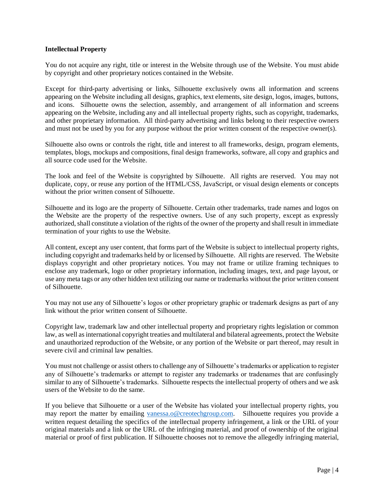### **Intellectual Property**

You do not acquire any right, title or interest in the Website through use of the Website. You must abide by copyright and other proprietary notices contained in the Website.

Except for third-party advertising or links, Silhouette exclusively owns all information and screens appearing on the Website including all designs, graphics, text elements, site design, logos, images, buttons, and icons. Silhouette owns the selection, assembly, and arrangement of all information and screens appearing on the Website, including any and all intellectual property rights, such as copyright, trademarks, and other proprietary information. All third-party advertising and links belong to their respective owners and must not be used by you for any purpose without the prior written consent of the respective owner(s).

Silhouette also owns or controls the right, title and interest to all frameworks, design, program elements, templates, blogs, mockups and compositions, final design frameworks, software, all copy and graphics and all source code used for the Website.

The look and feel of the Website is copyrighted by Silhouette. All rights are reserved. You may not duplicate, copy, or reuse any portion of the HTML/CSS, JavaScript, or visual design elements or concepts without the prior written consent of Silhouette.

Silhouette and its logo are the property of Silhouette. Certain other trademarks, trade names and logos on the Website are the property of the respective owners. Use of any such property, except as expressly authorized, shall constitute a violation of the rights of the owner of the property and shall result in immediate termination of your rights to use the Website.

All content, except any user content, that forms part of the Website is subject to intellectual property rights, including copyright and trademarks held by or licensed by Silhouette. All rights are reserved. The Website displays copyright and other proprietary notices. You may not frame or utilize framing techniques to enclose any trademark, logo or other proprietary information, including images, text, and page layout, or use any meta tags or any other hidden text utilizing our name or trademarks without the prior written consent of Silhouette.

You may not use any of Silhouette's logos or other proprietary graphic or trademark designs as part of any link without the prior written consent of Silhouette.

Copyright law, trademark law and other intellectual property and proprietary rights legislation or common law, as well as international copyright treaties and multilateral and bilateral agreements, protect the Website and unauthorized reproduction of the Website, or any portion of the Website or part thereof, may result in severe civil and criminal law penalties.

You must not challenge or assist others to challenge any of Silhouette's trademarks or application to register any of Silhouette's trademarks or attempt to register any trademarks or tradenames that are confusingly similar to any of Silhouette's trademarks. Silhouette respects the intellectual property of others and we ask users of the Website to do the same.

If you believe that Silhouette or a user of the Website has violated your intellectual property rights, you may report the matter by emailing [vanessa.o@creotechgroup.com.](mailto:vanessa.o@creotechgroup.com) Silhouette requires you provide a written request detailing the specifics of the intellectual property infringement, a link or the URL of your original materials and a link or the URL of the infringing material, and proof of ownership of the original material or proof of first publication. If Silhouette chooses not to remove the allegedly infringing material,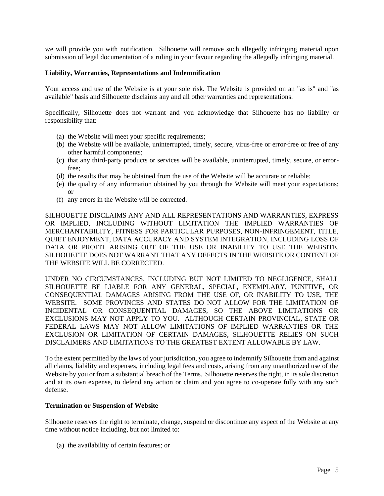we will provide you with notification. Silhouette will remove such allegedly infringing material upon submission of legal documentation of a ruling in your favour regarding the allegedly infringing material.

#### **Liability, Warranties, Representations and Indemnification**

Your access and use of the Website is at your sole risk. The Website is provided on an "as is" and "as available" basis and Silhouette disclaims any and all other warranties and representations.

Specifically, Silhouette does not warrant and you acknowledge that Silhouette has no liability or responsibility that:

- (a) the Website will meet your specific requirements;
- (b) the Website will be available, uninterrupted, timely, secure, virus-free or error-free or free of any other harmful components;
- (c) that any third-party products or services will be available, uninterrupted, timely, secure, or errorfree;
- (d) the results that may be obtained from the use of the Website will be accurate or reliable;
- (e) the quality of any information obtained by you through the Website will meet your expectations; or
- (f) any errors in the Website will be corrected.

SILHOUETTE DISCLAIMS ANY AND ALL REPRESENTATIONS AND WARRANTIES, EXPRESS OR IMPLIED, INCLUDING WITHOUT LIMITATION THE IMPLIED WARRANTIES OF MERCHANTABILITY, FITNESS FOR PARTICULAR PURPOSES, NON-INFRINGEMENT, TITLE, QUIET ENJOYMENT, DATA ACCURACY AND SYSTEM INTEGRATION, INCLUDING LOSS OF DATA OR PROFIT ARISING OUT OF THE USE OR INABILITY TO USE THE WEBSITE. SILHOUETTE DOES NOT WARRANT THAT ANY DEFECTS IN THE WEBSITE OR CONTENT OF THE WEBSITE WILL BE CORRECTED.

UNDER NO CIRCUMSTANCES, INCLUDING BUT NOT LIMITED TO NEGLIGENCE, SHALL SILHOUETTE BE LIABLE FOR ANY GENERAL, SPECIAL, EXEMPLARY, PUNITIVE, OR CONSEQUENTIAL DAMAGES ARISING FROM THE USE OF, OR INABILITY TO USE, THE WEBSITE. SOME PROVINCES AND STATES DO NOT ALLOW FOR THE LIMITATION OF INCIDENTAL OR CONSEQUENTIAL DAMAGES, SO THE ABOVE LIMITATIONS OR EXCLUSIONS MAY NOT APPLY TO YOU. ALTHOUGH CERTAIN PROVINCIAL, STATE OR FEDERAL LAWS MAY NOT ALLOW LIMITATIONS OF IMPLIED WARRANTIES OR THE EXCLUSION OR LIMITATION OF CERTAIN DAMAGES, SILHOUETTE RELIES ON SUCH DISCLAIMERS AND LIMITATIONS TO THE GREATEST EXTENT ALLOWABLE BY LAW.

To the extent permitted by the laws of your jurisdiction, you agree to indemnify Silhouette from and against all claims, liability and expenses, including legal fees and costs, arising from any unauthorized use of the Website by you or from a substantial breach of the Terms. Silhouette reserves the right, in its sole discretion and at its own expense, to defend any action or claim and you agree to co-operate fully with any such defense.

#### **Termination or Suspension of Website**

Silhouette reserves the right to terminate, change, suspend or discontinue any aspect of the Website at any time without notice including, but not limited to:

(a) the availability of certain features; or